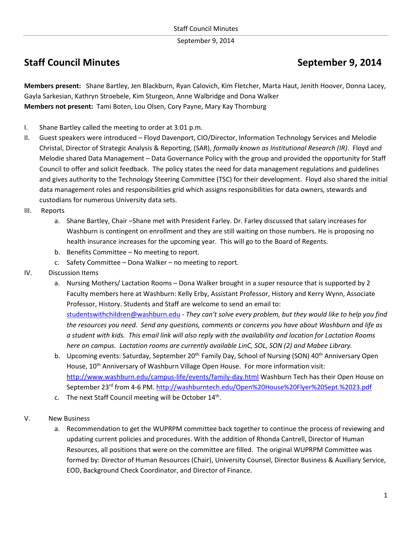September 9, 2014

# **Staff Council Minutes September 9, 2014**

**Members present:** Shane Bartley, Jen Blackburn, Ryan Calovich, Kim Fletcher, Marta Haut, Jenith Hoover, Donna Lacey, Gayla Sarkesian, Kathryn Stroebele, Kim Sturgeon, Anne Walbridge and Dona Walker **Members not present:** Tami Boten, Lou Olsen, Cory Payne, Mary Kay Thornburg

- I. Shane Bartley called the meeting to order at 3:01 p.m.
- II. Guest speakers were introduced Floyd Davenport, CIO/Director, Information Technology Services and Melodie Christal, Director of Strategic Analysis & Reporting, (SAR), *formally known as Institutional Research (IR)*. Floyd and Melodie shared Data Management – Data Governance Policy with the group and provided the opportunity for Staff Council to offer and solicit feedback. The policy states the need for data management regulations and guidelines and gives authority to the Technology Steering Committee (TSC) for their development. Floyd also shared the initial data management roles and responsibilities grid which assigns responsibilities for data owners, stewards and custodians for numerous University data sets.
- III. Reports
	- a. Shane Bartley, Chair –Shane met with President Farley. Dr. Farley discussed that salary increases for Washburn is contingent on enrollment and they are still waiting on those numbers. He is proposing no health insurance increases for the upcoming year. This will go to the Board of Regents.
	- b. Benefits Committee No meeting to report.
	- c. Safety Committee Dona Walker no meeting to report.
- IV. Discussion Items
	- a. Nursing Mothers/ Lactation Rooms Dona Walker brought in a super resource that is supported by 2 Faculty members here at Washburn: Kelly Erby, Assistant Professor, History and Kerry Wynn, Associate Professor, History. Students and Staff are welcome to send an email to:

[studentswithchildren@washburn.edu](mailto:studentswithchildren@washburn.edu) - *They can't solve every problem, but they would like to help you find the resources you need. Send any questions, comments or concerns you have about Washburn and life as a student with kids. This email link will also reply with the availability and location for Lactation Rooms here on campus. Lactation rooms are currently available LinC, SOL, SON (2) and Mabee Library.* 

- b. Upcoming events: Saturday, September 20<sup>th:</sup> Family Day, School of Nursing (SON) 40<sup>th</sup> Anniversary Open House, 10<sup>th</sup> Anniversary of Washburn Village Open House. For more information visit: <http://www.washburn.edu/campus-life/events/family-day.html> Washburn Tech has their Open House on September 23rd from 4-6 PM.<http://washburntech.edu/Open%20House%20Flyer%20Sept.%2023.pdf>
- c. The next Staff Council meeting will be October 14<sup>th</sup>.
- V. New Business
	- a. Recommendation to get the WUPRPM committee back together to continue the process of reviewing and updating current policies and procedures. With the addition of Rhonda Cantrell, Director of Human Resources, all positions that were on the committee are filled. The original WUPRPM Committee was formed by: Director of Human Resources (Chair), University Counsel, Director Business & Auxiliary Service, EOD, Background Check Coordinator, and Director of Finance.